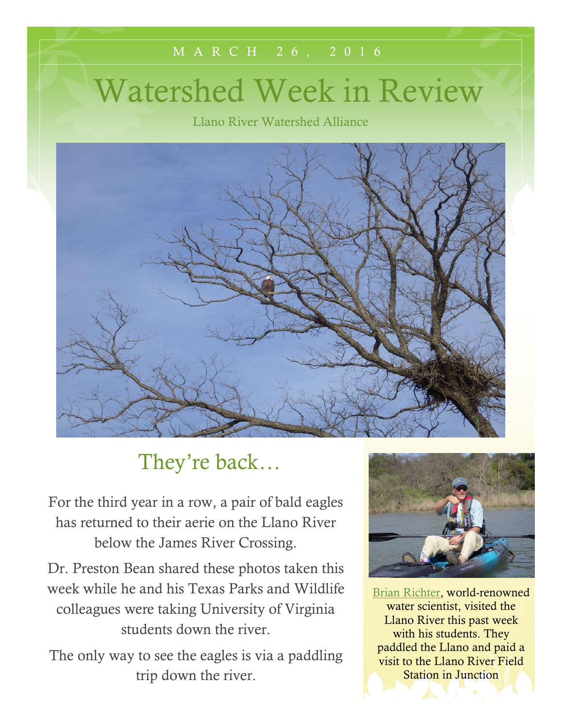## M A R C H 2 6 , 2 0 1 6

# Watershed Week in Review

Llano River Watershed Alliance



# They're back…

For the third year in a row, a pair of bald eagles has returned to their aerie on the Llano River below the James River Crossing.

Dr. Preston Bean shared these photos taken this week while he and his Texas Parks and Wildlife colleagues were taking University of Virginia students down the river.

The only way to see the eagles is via a paddling trip down the river.



[Brian Richter,](http://www.nature.org/ourinitiatives/habitats/riverslakes/contact/brian-richter.xml) world-renowned water scientist, visited the Llano River this past week with his students. They paddled the Llano and paid a visit to the Llano River Field Station in Junction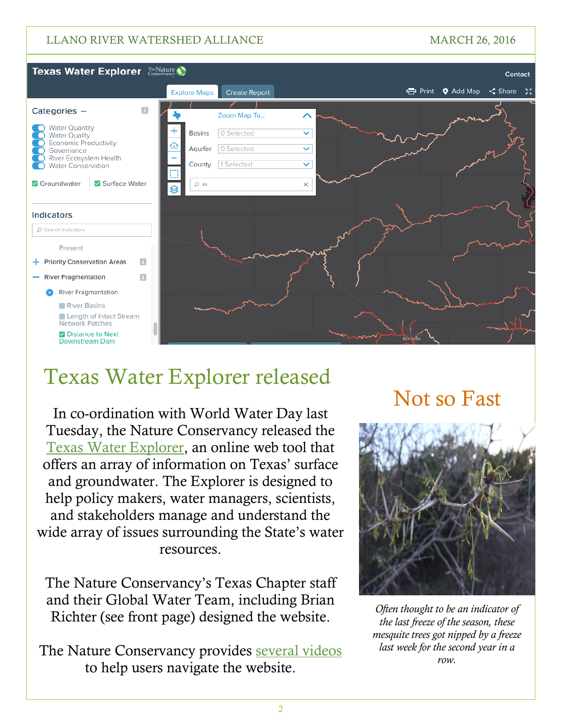#### LLANO RIVER WATERSHED ALLIANCE MARCH 26, 2016



# Texas Water Explorer released

In co-ordination with World Water Day last Tuesday, the Nature Conservancy released the [Texas Water Explorer,](http://www.texaswaterexplorer.tnc.org/) an online web tool that offers an array of information on Texas' surface and groundwater. The Explorer is designed to help policy makers, water managers, scientists, and stakeholders manage and understand the wide array of issues surrounding the State's water resources.

The Nature Conservancy's Texas Chapter staff and their Global Water Team, including Brian Richter (see front page) designed the website.

The Nature Conservancy provides [several videos](http://www.nature.org/photos-and-video/video/tx-water-explorer-map-panel) to help users navigate the website.

# Not so Fast



*Often thought to be an indicator of the last freeze of the season, these mesquite trees got nipped by a freeze last week for the second year in a row.*